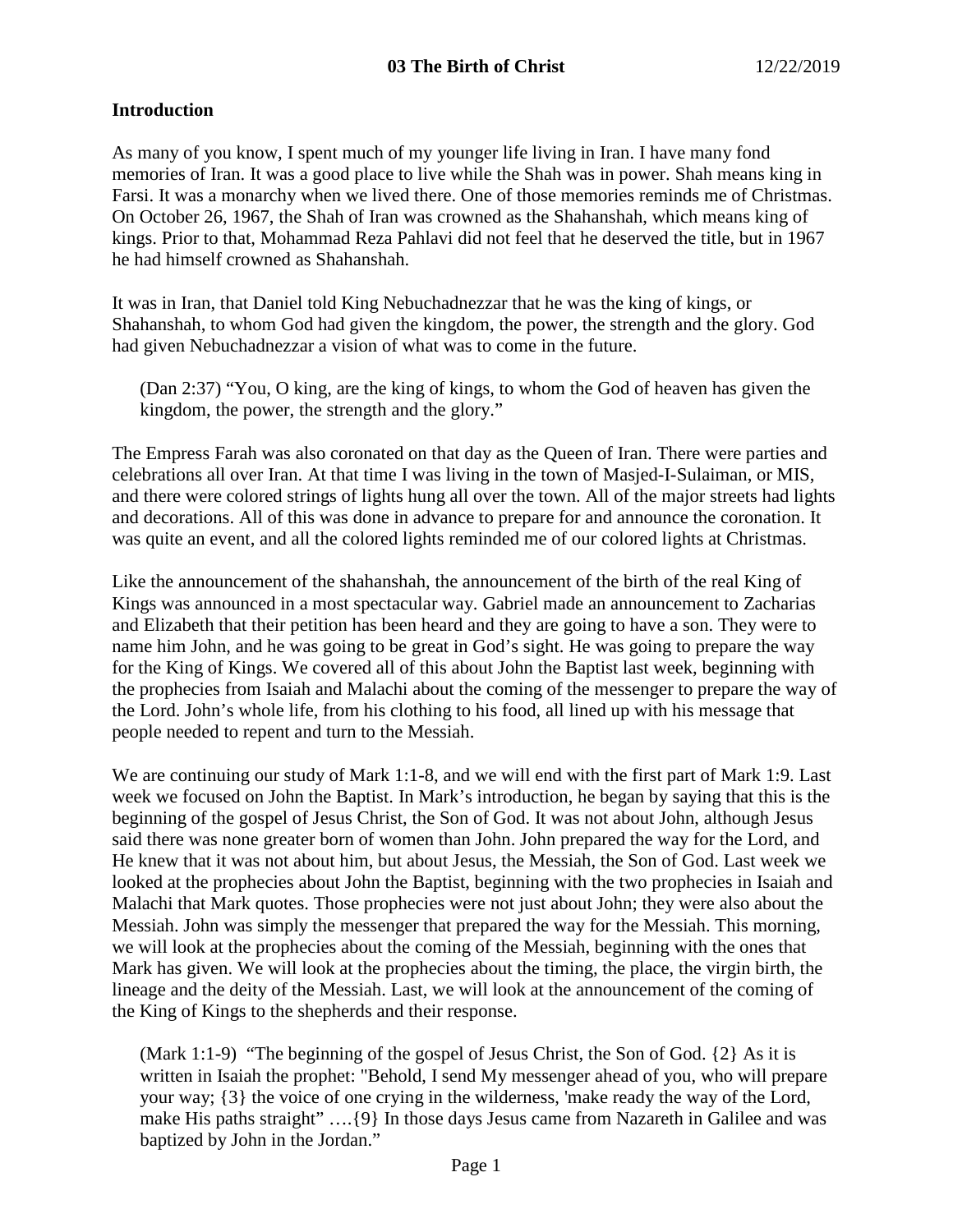## **Introduction**

As many of you know, I spent much of my younger life living in Iran. I have many fond memories of Iran. It was a good place to live while the Shah was in power. Shah means king in Farsi. It was a monarchy when we lived there. One of those memories reminds me of Christmas. On October 26, 1967, the Shah of Iran was crowned as the Shahanshah, which means king of kings. Prior to that, Mohammad Reza Pahlavi did not feel that he deserved the title, but in 1967 he had himself crowned as Shahanshah.

It was in Iran, that Daniel told King Nebuchadnezzar that he was the king of kings, or Shahanshah, to whom God had given the kingdom, the power, the strength and the glory. God had given Nebuchadnezzar a vision of what was to come in the future.

(Dan 2:37) "You, O king, are the king of kings, to whom the God of heaven has given the kingdom, the power, the strength and the glory."

The Empress Farah was also coronated on that day as the Queen of Iran. There were parties and celebrations all over Iran. At that time I was living in the town of Masjed-I-Sulaiman, or MIS, and there were colored strings of lights hung all over the town. All of the major streets had lights and decorations. All of this was done in advance to prepare for and announce the coronation. It was quite an event, and all the colored lights reminded me of our colored lights at Christmas.

Like the announcement of the shahanshah, the announcement of the birth of the real King of Kings was announced in a most spectacular way. Gabriel made an announcement to Zacharias and Elizabeth that their petition has been heard and they are going to have a son. They were to name him John, and he was going to be great in God's sight. He was going to prepare the way for the King of Kings. We covered all of this about John the Baptist last week, beginning with the prophecies from Isaiah and Malachi about the coming of the messenger to prepare the way of the Lord. John's whole life, from his clothing to his food, all lined up with his message that people needed to repent and turn to the Messiah.

We are continuing our study of Mark 1:1-8, and we will end with the first part of Mark 1:9. Last week we focused on John the Baptist. In Mark's introduction, he began by saying that this is the beginning of the gospel of Jesus Christ, the Son of God. It was not about John, although Jesus said there was none greater born of women than John. John prepared the way for the Lord, and He knew that it was not about him, but about Jesus, the Messiah, the Son of God. Last week we looked at the prophecies about John the Baptist, beginning with the two prophecies in Isaiah and Malachi that Mark quotes. Those prophecies were not just about John; they were also about the Messiah. John was simply the messenger that prepared the way for the Messiah. This morning, we will look at the prophecies about the coming of the Messiah, beginning with the ones that Mark has given. We will look at the prophecies about the timing, the place, the virgin birth, the lineage and the deity of the Messiah. Last, we will look at the announcement of the coming of the King of Kings to the shepherds and their response.

(Mark 1:1-9) "The beginning of the gospel of Jesus Christ, the Son of God. {2} As it is written in Isaiah the prophet: "Behold, I send My messenger ahead of you, who will prepare your way; {3} the voice of one crying in the wilderness, 'make ready the way of the Lord, make His paths straight" .... {9} In those days Jesus came from Nazareth in Galilee and was baptized by John in the Jordan."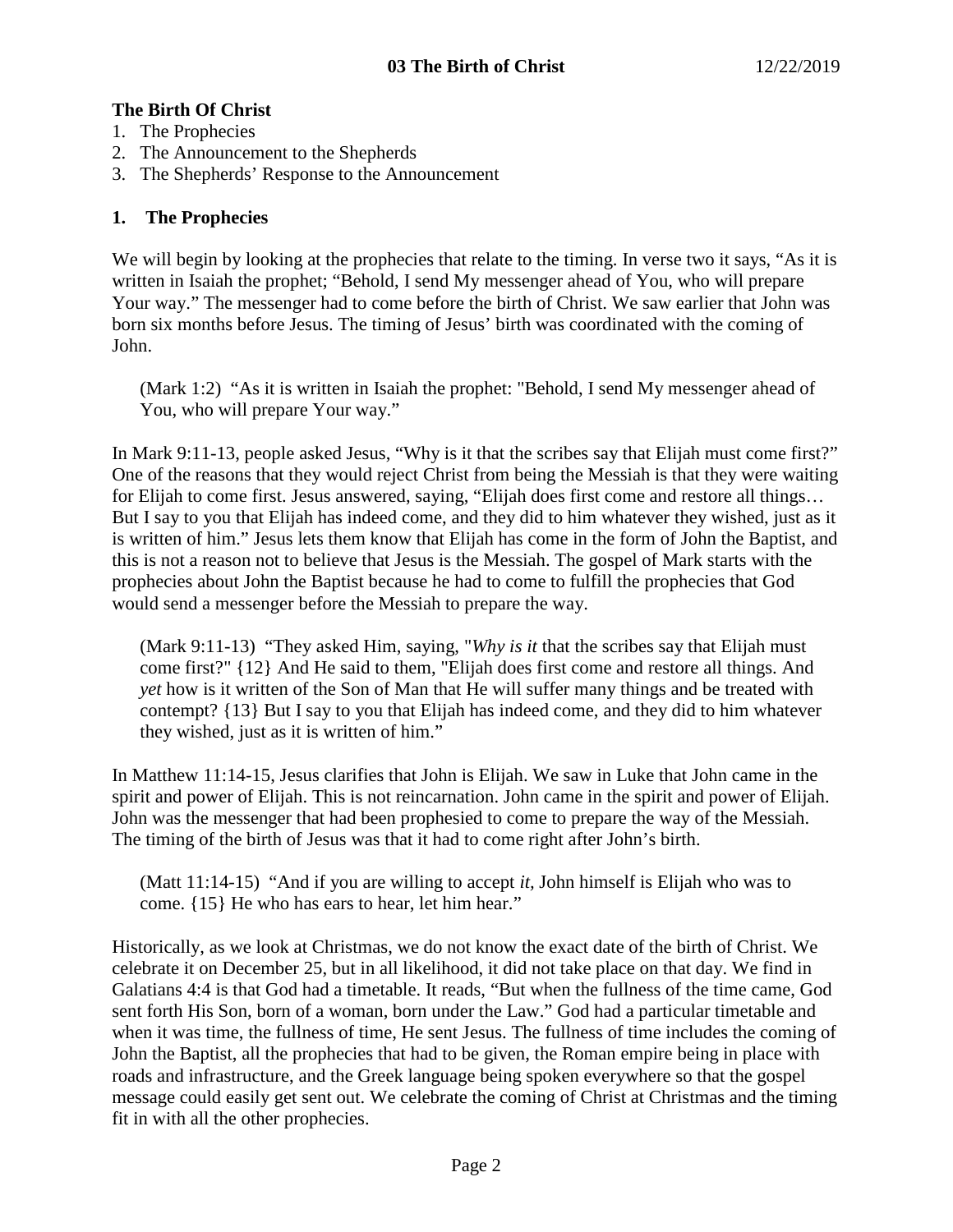# **The Birth Of Christ**

- 1. The Prophecies
- 2. The Announcement to the Shepherds
- 3. The Shepherds' Response to the Announcement

# **1. The Prophecies**

We will begin by looking at the prophecies that relate to the timing. In verse two it says, "As it is written in Isaiah the prophet; "Behold, I send My messenger ahead of You, who will prepare Your way." The messenger had to come before the birth of Christ. We saw earlier that John was born six months before Jesus. The timing of Jesus' birth was coordinated with the coming of John.

(Mark 1:2) "As it is written in Isaiah the prophet: "Behold, I send My messenger ahead of You, who will prepare Your way."

In Mark 9:11-13, people asked Jesus, "Why is it that the scribes say that Elijah must come first?" One of the reasons that they would reject Christ from being the Messiah is that they were waiting for Elijah to come first. Jesus answered, saying, "Elijah does first come and restore all things… But I say to you that Elijah has indeed come, and they did to him whatever they wished, just as it is written of him." Jesus lets them know that Elijah has come in the form of John the Baptist, and this is not a reason not to believe that Jesus is the Messiah. The gospel of Mark starts with the prophecies about John the Baptist because he had to come to fulfill the prophecies that God would send a messenger before the Messiah to prepare the way.

(Mark 9:11-13) "They asked Him, saying, "*Why is it* that the scribes say that Elijah must come first?" {12} And He said to them, "Elijah does first come and restore all things. And *yet* how is it written of the Son of Man that He will suffer many things and be treated with contempt? {13} But I say to you that Elijah has indeed come, and they did to him whatever they wished, just as it is written of him."

In Matthew 11:14-15, Jesus clarifies that John is Elijah. We saw in Luke that John came in the spirit and power of Elijah. This is not reincarnation. John came in the spirit and power of Elijah. John was the messenger that had been prophesied to come to prepare the way of the Messiah. The timing of the birth of Jesus was that it had to come right after John's birth.

(Matt 11:14-15) "And if you are willing to accept *it,* John himself is Elijah who was to come. {15} He who has ears to hear, let him hear."

Historically, as we look at Christmas, we do not know the exact date of the birth of Christ. We celebrate it on December 25, but in all likelihood, it did not take place on that day. We find in Galatians 4:4 is that God had a timetable. It reads, "But when the fullness of the time came, God sent forth His Son, born of a woman, born under the Law." God had a particular timetable and when it was time, the fullness of time, He sent Jesus. The fullness of time includes the coming of John the Baptist, all the prophecies that had to be given, the Roman empire being in place with roads and infrastructure, and the Greek language being spoken everywhere so that the gospel message could easily get sent out. We celebrate the coming of Christ at Christmas and the timing fit in with all the other prophecies.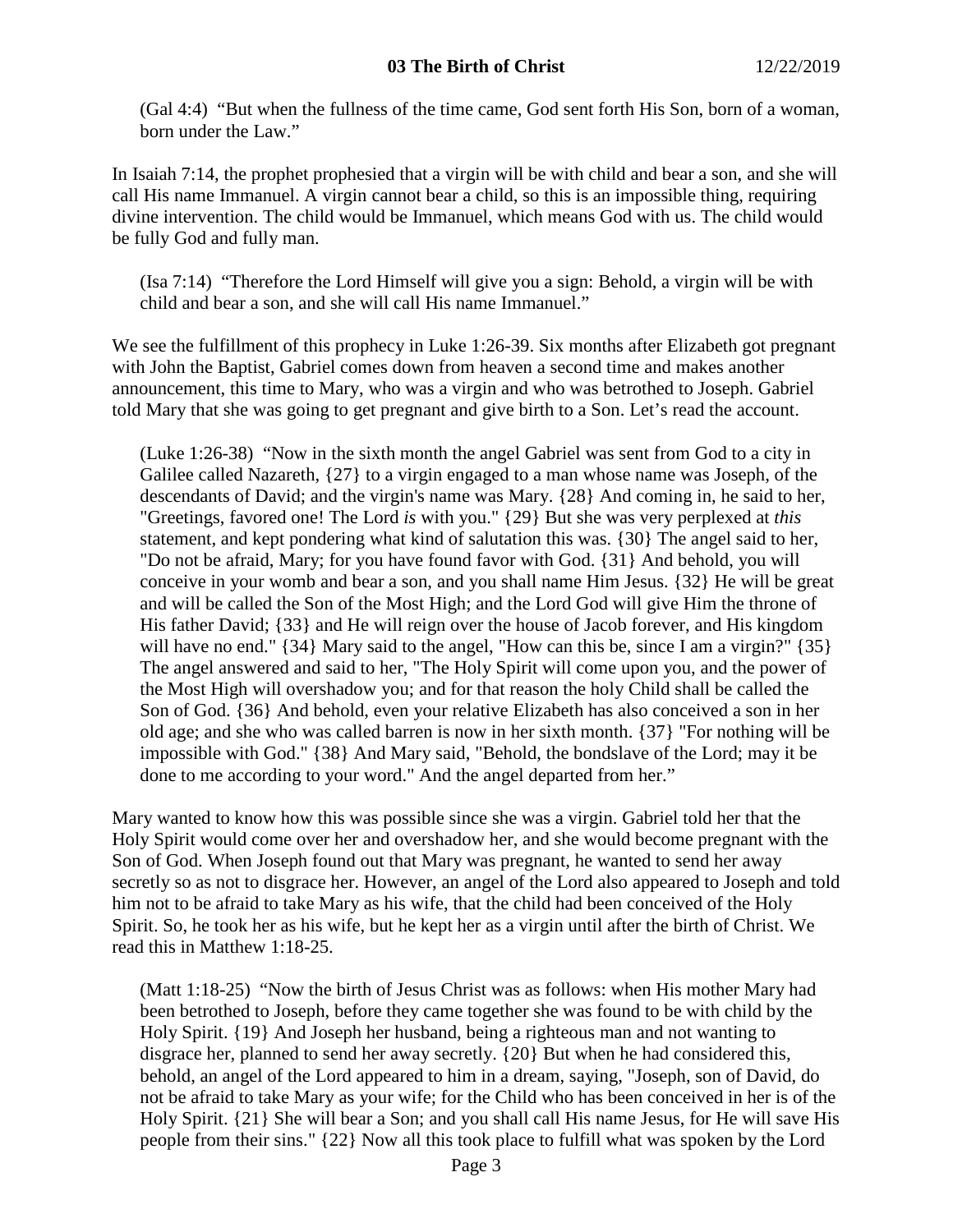(Gal 4:4) "But when the fullness of the time came, God sent forth His Son, born of a woman, born under the Law."

In Isaiah 7:14, the prophet prophesied that a virgin will be with child and bear a son, and she will call His name Immanuel. A virgin cannot bear a child, so this is an impossible thing, requiring divine intervention. The child would be Immanuel, which means God with us. The child would be fully God and fully man.

(Isa 7:14) "Therefore the Lord Himself will give you a sign: Behold, a virgin will be with child and bear a son, and she will call His name Immanuel."

We see the fulfillment of this prophecy in Luke 1:26-39. Six months after Elizabeth got pregnant with John the Baptist, Gabriel comes down from heaven a second time and makes another announcement, this time to Mary, who was a virgin and who was betrothed to Joseph. Gabriel told Mary that she was going to get pregnant and give birth to a Son. Let's read the account.

(Luke 1:26-38) "Now in the sixth month the angel Gabriel was sent from God to a city in Galilee called Nazareth, {27} to a virgin engaged to a man whose name was Joseph, of the descendants of David; and the virgin's name was Mary. {28} And coming in, he said to her, "Greetings, favored one! The Lord *is* with you." {29} But she was very perplexed at *this* statement, and kept pondering what kind of salutation this was. {30} The angel said to her, "Do not be afraid, Mary; for you have found favor with God. {31} And behold, you will conceive in your womb and bear a son, and you shall name Him Jesus. {32} He will be great and will be called the Son of the Most High; and the Lord God will give Him the throne of His father David; {33} and He will reign over the house of Jacob forever, and His kingdom will have no end." {34} Mary said to the angel, "How can this be, since I am a virgin?" {35} The angel answered and said to her, "The Holy Spirit will come upon you, and the power of the Most High will overshadow you; and for that reason the holy Child shall be called the Son of God. {36} And behold, even your relative Elizabeth has also conceived a son in her old age; and she who was called barren is now in her sixth month. {37} "For nothing will be impossible with God." {38} And Mary said, "Behold, the bondslave of the Lord; may it be done to me according to your word." And the angel departed from her."

Mary wanted to know how this was possible since she was a virgin. Gabriel told her that the Holy Spirit would come over her and overshadow her, and she would become pregnant with the Son of God. When Joseph found out that Mary was pregnant, he wanted to send her away secretly so as not to disgrace her. However, an angel of the Lord also appeared to Joseph and told him not to be afraid to take Mary as his wife, that the child had been conceived of the Holy Spirit. So, he took her as his wife, but he kept her as a virgin until after the birth of Christ. We read this in Matthew 1:18-25.

(Matt 1:18-25) "Now the birth of Jesus Christ was as follows: when His mother Mary had been betrothed to Joseph, before they came together she was found to be with child by the Holy Spirit. {19} And Joseph her husband, being a righteous man and not wanting to disgrace her, planned to send her away secretly. {20} But when he had considered this, behold, an angel of the Lord appeared to him in a dream, saying, "Joseph, son of David, do not be afraid to take Mary as your wife; for the Child who has been conceived in her is of the Holy Spirit. {21} She will bear a Son; and you shall call His name Jesus, for He will save His people from their sins." {22} Now all this took place to fulfill what was spoken by the Lord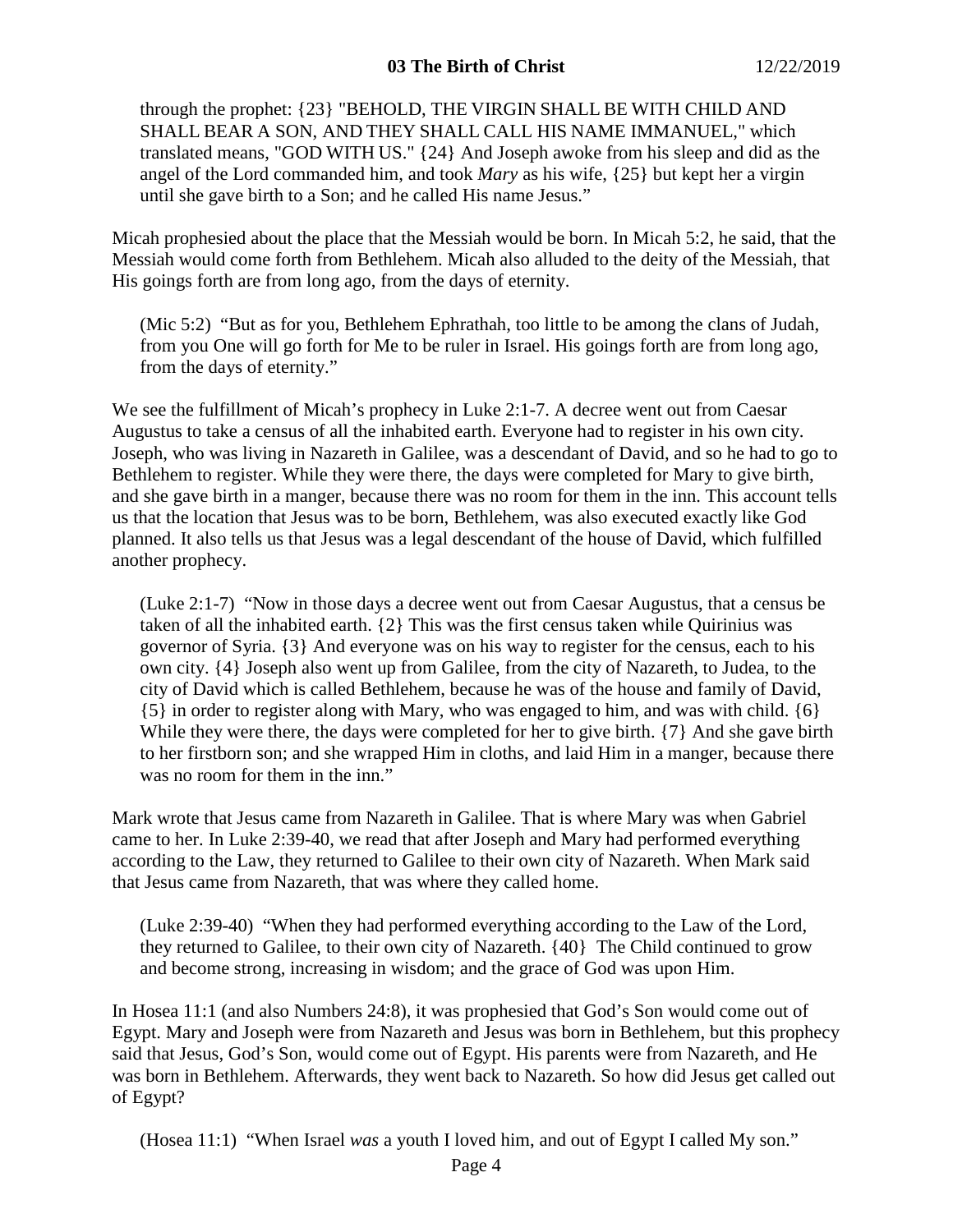through the prophet: {23} "BEHOLD, THE VIRGIN SHALL BE WITH CHILD AND SHALL BEAR A SON, AND THEY SHALL CALL HIS NAME IMMANUEL," which translated means, "GOD WITH US." {24} And Joseph awoke from his sleep and did as the angel of the Lord commanded him, and took *Mary* as his wife, {25} but kept her a virgin until she gave birth to a Son; and he called His name Jesus."

Micah prophesied about the place that the Messiah would be born. In Micah 5:2, he said, that the Messiah would come forth from Bethlehem. Micah also alluded to the deity of the Messiah, that His goings forth are from long ago, from the days of eternity.

(Mic 5:2) "But as for you, Bethlehem Ephrathah, too little to be among the clans of Judah, from you One will go forth for Me to be ruler in Israel. His goings forth are from long ago, from the days of eternity."

We see the fulfillment of Micah's prophecy in Luke 2:1-7. A decree went out from Caesar Augustus to take a census of all the inhabited earth. Everyone had to register in his own city. Joseph, who was living in Nazareth in Galilee, was a descendant of David, and so he had to go to Bethlehem to register. While they were there, the days were completed for Mary to give birth, and she gave birth in a manger, because there was no room for them in the inn. This account tells us that the location that Jesus was to be born, Bethlehem, was also executed exactly like God planned. It also tells us that Jesus was a legal descendant of the house of David, which fulfilled another prophecy.

(Luke 2:1-7) "Now in those days a decree went out from Caesar Augustus, that a census be taken of all the inhabited earth. {2} This was the first census taken while Quirinius was governor of Syria. {3} And everyone was on his way to register for the census, each to his own city. {4} Joseph also went up from Galilee, from the city of Nazareth, to Judea, to the city of David which is called Bethlehem, because he was of the house and family of David, {5} in order to register along with Mary, who was engaged to him, and was with child. {6} While they were there, the days were completed for her to give birth.  $\{7\}$  And she gave birth to her firstborn son; and she wrapped Him in cloths, and laid Him in a manger, because there was no room for them in the inn."

Mark wrote that Jesus came from Nazareth in Galilee. That is where Mary was when Gabriel came to her. In Luke 2:39-40, we read that after Joseph and Mary had performed everything according to the Law, they returned to Galilee to their own city of Nazareth. When Mark said that Jesus came from Nazareth, that was where they called home.

(Luke 2:39-40) "When they had performed everything according to the Law of the Lord, they returned to Galilee, to their own city of Nazareth. {40} The Child continued to grow and become strong, increasing in wisdom; and the grace of God was upon Him.

In Hosea 11:1 (and also Numbers 24:8), it was prophesied that God's Son would come out of Egypt. Mary and Joseph were from Nazareth and Jesus was born in Bethlehem, but this prophecy said that Jesus, God's Son, would come out of Egypt. His parents were from Nazareth, and He was born in Bethlehem. Afterwards, they went back to Nazareth. So how did Jesus get called out of Egypt?

(Hosea 11:1) "When Israel *was* a youth I loved him, and out of Egypt I called My son."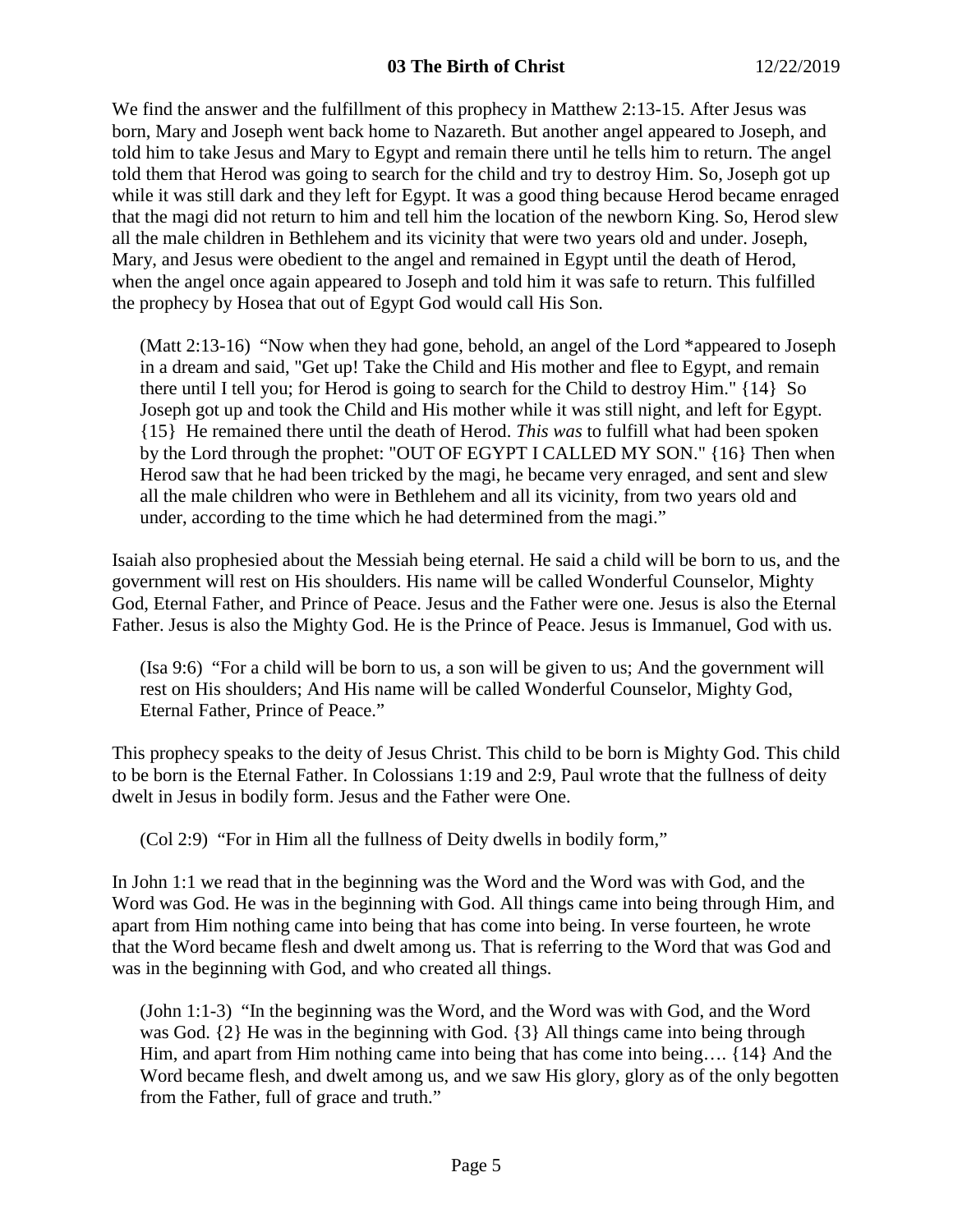We find the answer and the fulfillment of this prophecy in Matthew 2:13-15. After Jesus was born, Mary and Joseph went back home to Nazareth. But another angel appeared to Joseph, and told him to take Jesus and Mary to Egypt and remain there until he tells him to return. The angel told them that Herod was going to search for the child and try to destroy Him. So, Joseph got up while it was still dark and they left for Egypt. It was a good thing because Herod became enraged that the magi did not return to him and tell him the location of the newborn King. So, Herod slew all the male children in Bethlehem and its vicinity that were two years old and under. Joseph, Mary, and Jesus were obedient to the angel and remained in Egypt until the death of Herod, when the angel once again appeared to Joseph and told him it was safe to return. This fulfilled the prophecy by Hosea that out of Egypt God would call His Son.

(Matt 2:13-16) "Now when they had gone, behold, an angel of the Lord \*appeared to Joseph in a dream and said, "Get up! Take the Child and His mother and flee to Egypt, and remain there until I tell you; for Herod is going to search for the Child to destroy Him." {14} So Joseph got up and took the Child and His mother while it was still night, and left for Egypt. {15} He remained there until the death of Herod. *This was* to fulfill what had been spoken by the Lord through the prophet: "OUT OF EGYPT I CALLED MY SON." {16} Then when Herod saw that he had been tricked by the magi, he became very enraged, and sent and slew all the male children who were in Bethlehem and all its vicinity, from two years old and under, according to the time which he had determined from the magi."

Isaiah also prophesied about the Messiah being eternal. He said a child will be born to us, and the government will rest on His shoulders. His name will be called Wonderful Counselor, Mighty God, Eternal Father, and Prince of Peace. Jesus and the Father were one. Jesus is also the Eternal Father. Jesus is also the Mighty God. He is the Prince of Peace. Jesus is Immanuel, God with us.

(Isa 9:6) "For a child will be born to us, a son will be given to us; And the government will rest on His shoulders; And His name will be called Wonderful Counselor, Mighty God, Eternal Father, Prince of Peace."

This prophecy speaks to the deity of Jesus Christ. This child to be born is Mighty God. This child to be born is the Eternal Father. In Colossians 1:19 and 2:9, Paul wrote that the fullness of deity dwelt in Jesus in bodily form. Jesus and the Father were One.

(Col 2:9) "For in Him all the fullness of Deity dwells in bodily form,"

In John 1:1 we read that in the beginning was the Word and the Word was with God, and the Word was God. He was in the beginning with God. All things came into being through Him, and apart from Him nothing came into being that has come into being. In verse fourteen, he wrote that the Word became flesh and dwelt among us. That is referring to the Word that was God and was in the beginning with God, and who created all things.

(John 1:1-3) "In the beginning was the Word, and the Word was with God, and the Word was God. {2} He was in the beginning with God. {3} All things came into being through Him, and apart from Him nothing came into being that has come into being…. {14} And the Word became flesh, and dwelt among us, and we saw His glory, glory as of the only begotten from the Father, full of grace and truth."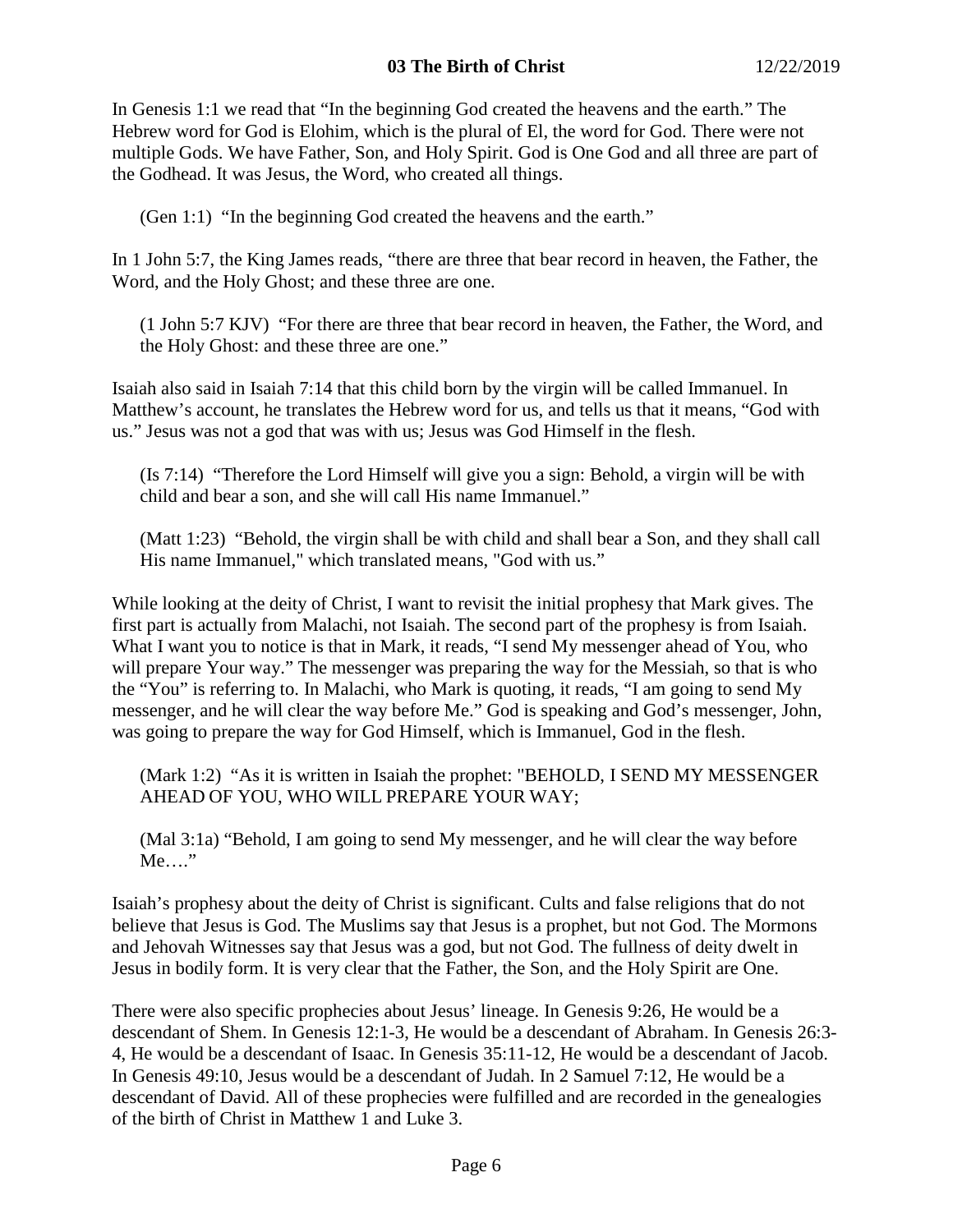In Genesis 1:1 we read that "In the beginning God created the heavens and the earth." The Hebrew word for God is Elohim, which is the plural of El, the word for God. There were not multiple Gods. We have Father, Son, and Holy Spirit. God is One God and all three are part of the Godhead. It was Jesus, the Word, who created all things.

(Gen 1:1) "In the beginning God created the heavens and the earth."

In 1 John 5:7, the King James reads, "there are three that bear record in heaven, the Father, the Word, and the Holy Ghost; and these three are one.

(1 John 5:7 KJV) "For there are three that bear record in heaven, the Father, the Word, and the Holy Ghost: and these three are one."

Isaiah also said in Isaiah 7:14 that this child born by the virgin will be called Immanuel. In Matthew's account, he translates the Hebrew word for us, and tells us that it means, "God with us." Jesus was not a god that was with us; Jesus was God Himself in the flesh.

(Is 7:14) "Therefore the Lord Himself will give you a sign: Behold, a virgin will be with child and bear a son, and she will call His name Immanuel."

(Matt 1:23) "Behold, the virgin shall be with child and shall bear a Son, and they shall call His name Immanuel," which translated means, "God with us."

While looking at the deity of Christ, I want to revisit the initial prophesy that Mark gives. The first part is actually from Malachi, not Isaiah. The second part of the prophesy is from Isaiah. What I want you to notice is that in Mark, it reads, "I send My messenger ahead of You, who will prepare Your way." The messenger was preparing the way for the Messiah, so that is who the "You" is referring to. In Malachi, who Mark is quoting, it reads, "I am going to send My messenger, and he will clear the way before Me." God is speaking and God's messenger, John, was going to prepare the way for God Himself, which is Immanuel, God in the flesh.

(Mark 1:2) "As it is written in Isaiah the prophet: "BEHOLD, I SEND MY MESSENGER AHEAD OF YOU, WHO WILL PREPARE YOUR WAY;

(Mal 3:1a) "Behold, I am going to send My messenger, and he will clear the way before Me…."

Isaiah's prophesy about the deity of Christ is significant. Cults and false religions that do not believe that Jesus is God. The Muslims say that Jesus is a prophet, but not God. The Mormons and Jehovah Witnesses say that Jesus was a god, but not God. The fullness of deity dwelt in Jesus in bodily form. It is very clear that the Father, the Son, and the Holy Spirit are One.

There were also specific prophecies about Jesus' lineage. In Genesis 9:26, He would be a descendant of Shem. In Genesis 12:1-3, He would be a descendant of Abraham. In Genesis 26:3- 4, He would be a descendant of Isaac. In Genesis 35:11-12, He would be a descendant of Jacob. In Genesis 49:10, Jesus would be a descendant of Judah. In 2 Samuel 7:12, He would be a descendant of David. All of these prophecies were fulfilled and are recorded in the genealogies of the birth of Christ in Matthew 1 and Luke 3.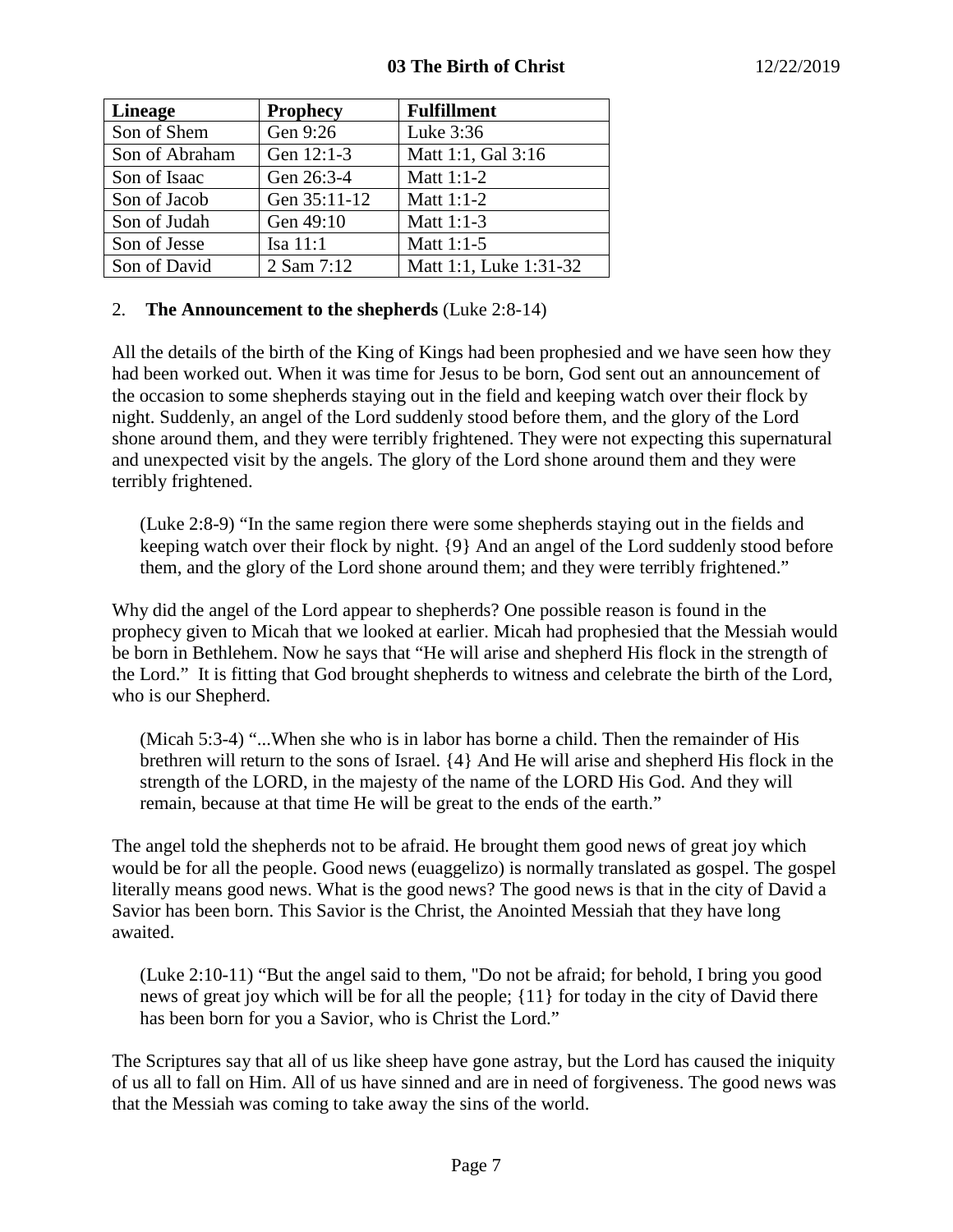| <b>Lineage</b> | <b>Prophecy</b> | <b>Fulfillment</b>     |
|----------------|-----------------|------------------------|
| Son of Shem    | Gen 9:26        | Luke 3:36              |
| Son of Abraham | Gen 12:1-3      | Matt 1:1, Gal 3:16     |
| Son of Isaac   | Gen 26:3-4      | Matt 1:1-2             |
| Son of Jacob   | Gen 35:11-12    | Matt 1:1-2             |
| Son of Judah   | Gen 49:10       | Matt 1:1-3             |
| Son of Jesse   | Isa $11:1$      | Matt 1:1-5             |
| Son of David   | 2 Sam 7:12      | Matt 1:1, Luke 1:31-32 |

## 2. **The Announcement to the shepherds** (Luke 2:8-14)

All the details of the birth of the King of Kings had been prophesied and we have seen how they had been worked out. When it was time for Jesus to be born, God sent out an announcement of the occasion to some shepherds staying out in the field and keeping watch over their flock by night. Suddenly, an angel of the Lord suddenly stood before them, and the glory of the Lord shone around them, and they were terribly frightened. They were not expecting this supernatural and unexpected visit by the angels. The glory of the Lord shone around them and they were terribly frightened.

(Luke 2:8-9) "In the same region there were some shepherds staying out in the fields and keeping watch over their flock by night. {9} And an angel of the Lord suddenly stood before them, and the glory of the Lord shone around them; and they were terribly frightened."

Why did the angel of the Lord appear to shepherds? One possible reason is found in the prophecy given to Micah that we looked at earlier. Micah had prophesied that the Messiah would be born in Bethlehem. Now he says that "He will arise and shepherd His flock in the strength of the Lord." It is fitting that God brought shepherds to witness and celebrate the birth of the Lord, who is our Shepherd.

(Micah 5:3-4) "...When she who is in labor has borne a child. Then the remainder of His brethren will return to the sons of Israel. {4} And He will arise and shepherd His flock in the strength of the LORD, in the majesty of the name of the LORD His God. And they will remain, because at that time He will be great to the ends of the earth."

The angel told the shepherds not to be afraid. He brought them good news of great joy which would be for all the people. Good news (euaggelizo) is normally translated as gospel. The gospel literally means good news. What is the good news? The good news is that in the city of David a Savior has been born. This Savior is the Christ, the Anointed Messiah that they have long awaited.

(Luke 2:10-11) "But the angel said to them, "Do not be afraid; for behold, I bring you good news of great joy which will be for all the people; {11} for today in the city of David there has been born for you a Savior, who is Christ the Lord."

The Scriptures say that all of us like sheep have gone astray, but the Lord has caused the iniquity of us all to fall on Him. All of us have sinned and are in need of forgiveness. The good news was that the Messiah was coming to take away the sins of the world.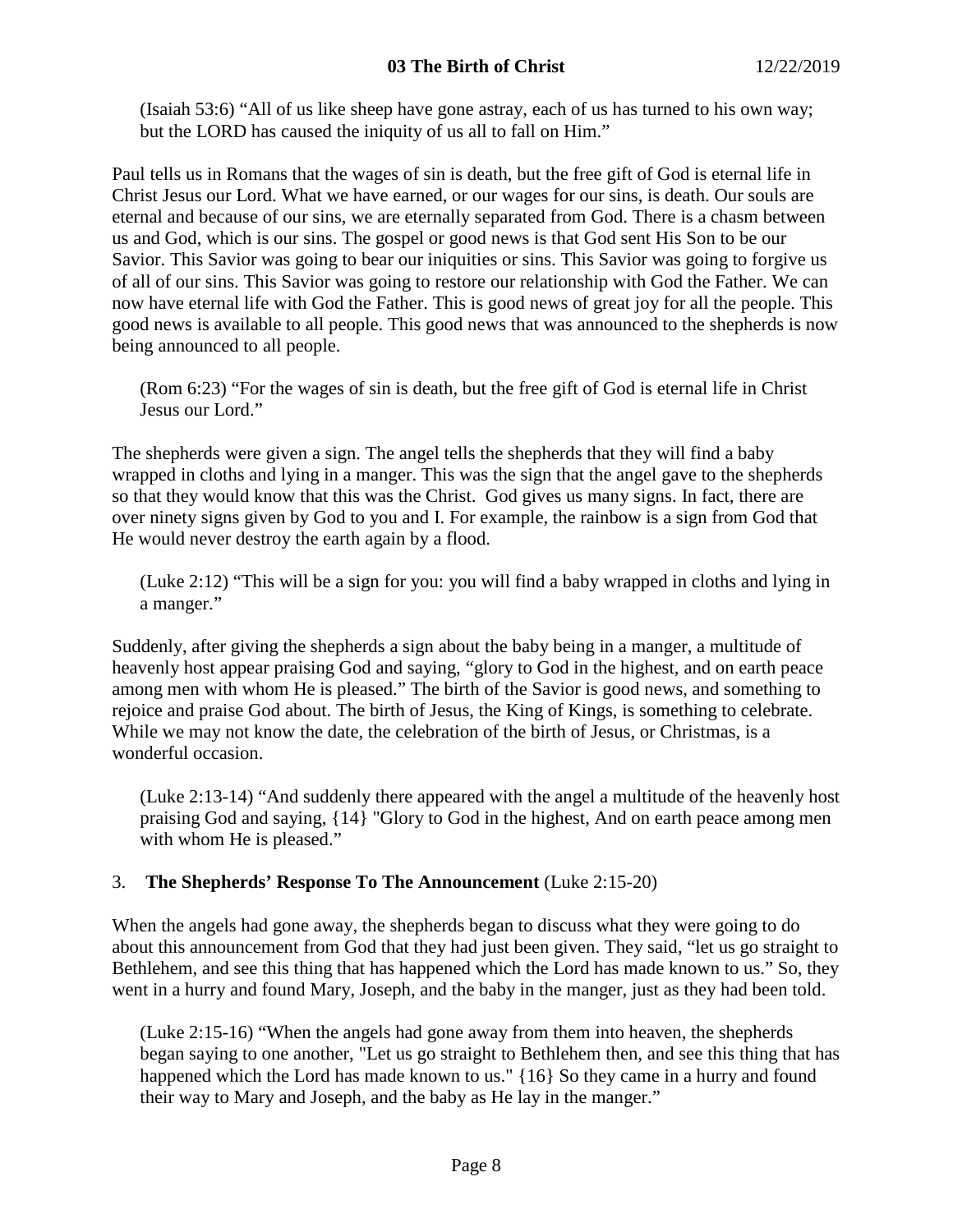(Isaiah 53:6) "All of us like sheep have gone astray, each of us has turned to his own way; but the LORD has caused the iniquity of us all to fall on Him."

Paul tells us in Romans that the wages of sin is death, but the free gift of God is eternal life in Christ Jesus our Lord. What we have earned, or our wages for our sins, is death. Our souls are eternal and because of our sins, we are eternally separated from God. There is a chasm between us and God, which is our sins. The gospel or good news is that God sent His Son to be our Savior. This Savior was going to bear our iniquities or sins. This Savior was going to forgive us of all of our sins. This Savior was going to restore our relationship with God the Father. We can now have eternal life with God the Father. This is good news of great joy for all the people. This good news is available to all people. This good news that was announced to the shepherds is now being announced to all people.

(Rom 6:23) "For the wages of sin is death, but the free gift of God is eternal life in Christ Jesus our Lord."

The shepherds were given a sign. The angel tells the shepherds that they will find a baby wrapped in cloths and lying in a manger. This was the sign that the angel gave to the shepherds so that they would know that this was the Christ. God gives us many signs. In fact, there are over ninety signs given by God to you and I. For example, the rainbow is a sign from God that He would never destroy the earth again by a flood.

(Luke 2:12) "This will be a sign for you: you will find a baby wrapped in cloths and lying in a manger."

Suddenly, after giving the shepherds a sign about the baby being in a manger, a multitude of heavenly host appear praising God and saying, "glory to God in the highest, and on earth peace among men with whom He is pleased." The birth of the Savior is good news, and something to rejoice and praise God about. The birth of Jesus, the King of Kings, is something to celebrate. While we may not know the date, the celebration of the birth of Jesus, or Christmas, is a wonderful occasion.

(Luke 2:13-14) "And suddenly there appeared with the angel a multitude of the heavenly host praising God and saying, {14} "Glory to God in the highest, And on earth peace among men with whom He is pleased."

## 3. **The Shepherds' Response To The Announcement** (Luke 2:15-20)

When the angels had gone away, the shepherds began to discuss what they were going to do about this announcement from God that they had just been given. They said, "let us go straight to Bethlehem, and see this thing that has happened which the Lord has made known to us." So, they went in a hurry and found Mary, Joseph, and the baby in the manger, just as they had been told.

(Luke 2:15-16) "When the angels had gone away from them into heaven, the shepherds began saying to one another, "Let us go straight to Bethlehem then, and see this thing that has happened which the Lord has made known to us." {16} So they came in a hurry and found their way to Mary and Joseph, and the baby as He lay in the manger."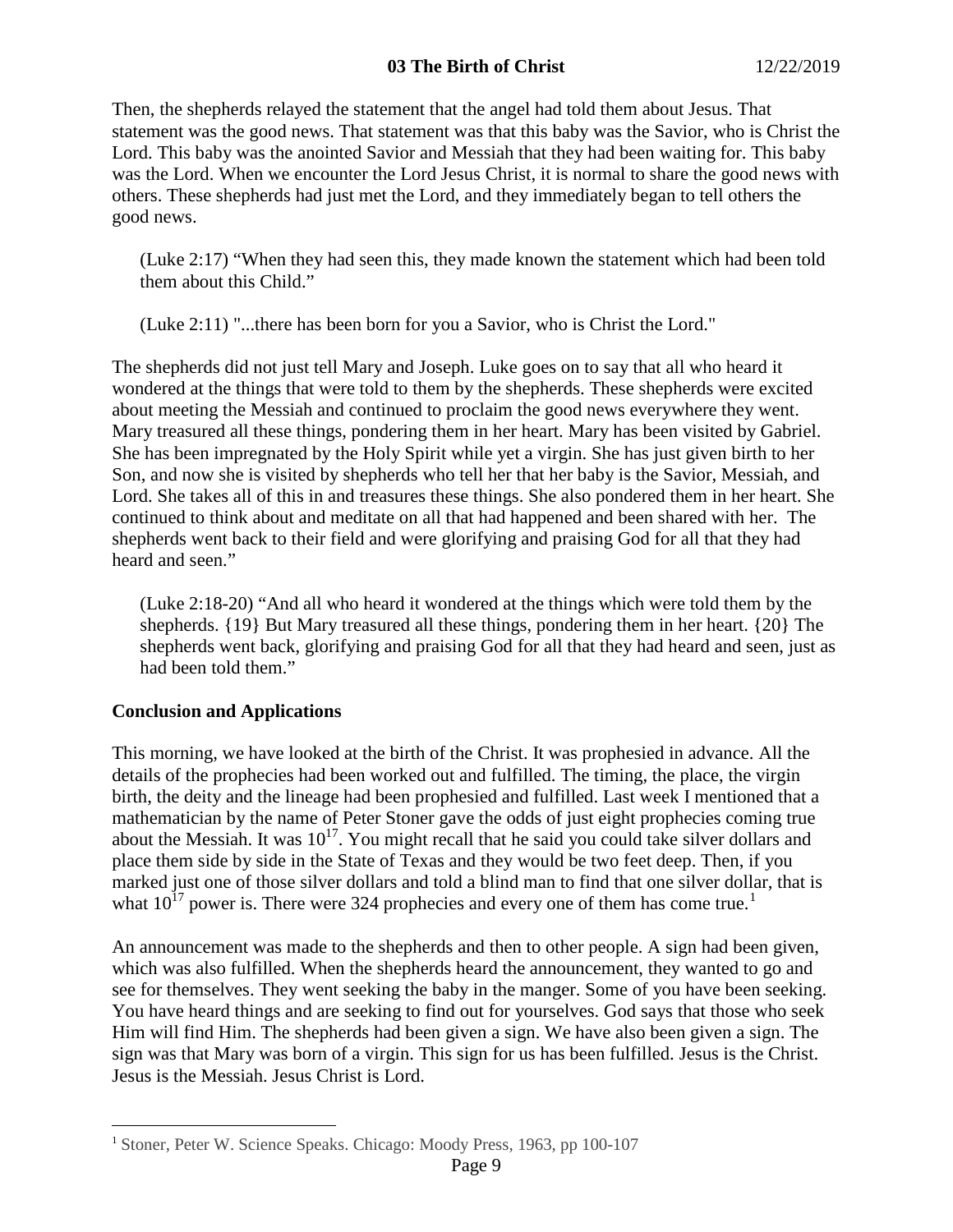Then, the shepherds relayed the statement that the angel had told them about Jesus. That statement was the good news. That statement was that this baby was the Savior, who is Christ the Lord. This baby was the anointed Savior and Messiah that they had been waiting for. This baby was the Lord. When we encounter the Lord Jesus Christ, it is normal to share the good news with others. These shepherds had just met the Lord, and they immediately began to tell others the good news.

(Luke 2:17) "When they had seen this, they made known the statement which had been told them about this Child."

(Luke 2:11) "...there has been born for you a Savior, who is Christ the Lord."

The shepherds did not just tell Mary and Joseph. Luke goes on to say that all who heard it wondered at the things that were told to them by the shepherds. These shepherds were excited about meeting the Messiah and continued to proclaim the good news everywhere they went. Mary treasured all these things, pondering them in her heart. Mary has been visited by Gabriel. She has been impregnated by the Holy Spirit while yet a virgin. She has just given birth to her Son, and now she is visited by shepherds who tell her that her baby is the Savior, Messiah, and Lord. She takes all of this in and treasures these things. She also pondered them in her heart. She continued to think about and meditate on all that had happened and been shared with her. The shepherds went back to their field and were glorifying and praising God for all that they had heard and seen."

(Luke 2:18-20) "And all who heard it wondered at the things which were told them by the shepherds. {19} But Mary treasured all these things, pondering them in her heart. {20} The shepherds went back, glorifying and praising God for all that they had heard and seen, just as had been told them."

## **Conclusion and Applications**

This morning, we have looked at the birth of the Christ. It was prophesied in advance. All the details of the prophecies had been worked out and fulfilled. The timing, the place, the virgin birth, the deity and the lineage had been prophesied and fulfilled. Last week I mentioned that a mathematician by the name of Peter Stoner gave the odds of just eight prophecies coming true about the Messiah. It was  $10^{17}$ . You might recall that he said you could take silver dollars and place them side by side in the State of Texas and they would be two feet deep. Then, if you marked just one of those silver dollars and told a blind man to find that one silver dollar, that is what  $10^{17}$  $10^{17}$  power is. There were 324 prophecies and every one of them has come true.<sup>1</sup>

An announcement was made to the shepherds and then to other people. A sign had been given, which was also fulfilled. When the shepherds heard the announcement, they wanted to go and see for themselves. They went seeking the baby in the manger. Some of you have been seeking. You have heard things and are seeking to find out for yourselves. God says that those who seek Him will find Him. The shepherds had been given a sign. We have also been given a sign. The sign was that Mary was born of a virgin. This sign for us has been fulfilled. Jesus is the Christ. Jesus is the Messiah. Jesus Christ is Lord.

<span id="page-8-0"></span><sup>&</sup>lt;sup>1</sup> Stoner, Peter W. Science Speaks. Chicago: Moody Press, 1963, pp 100-107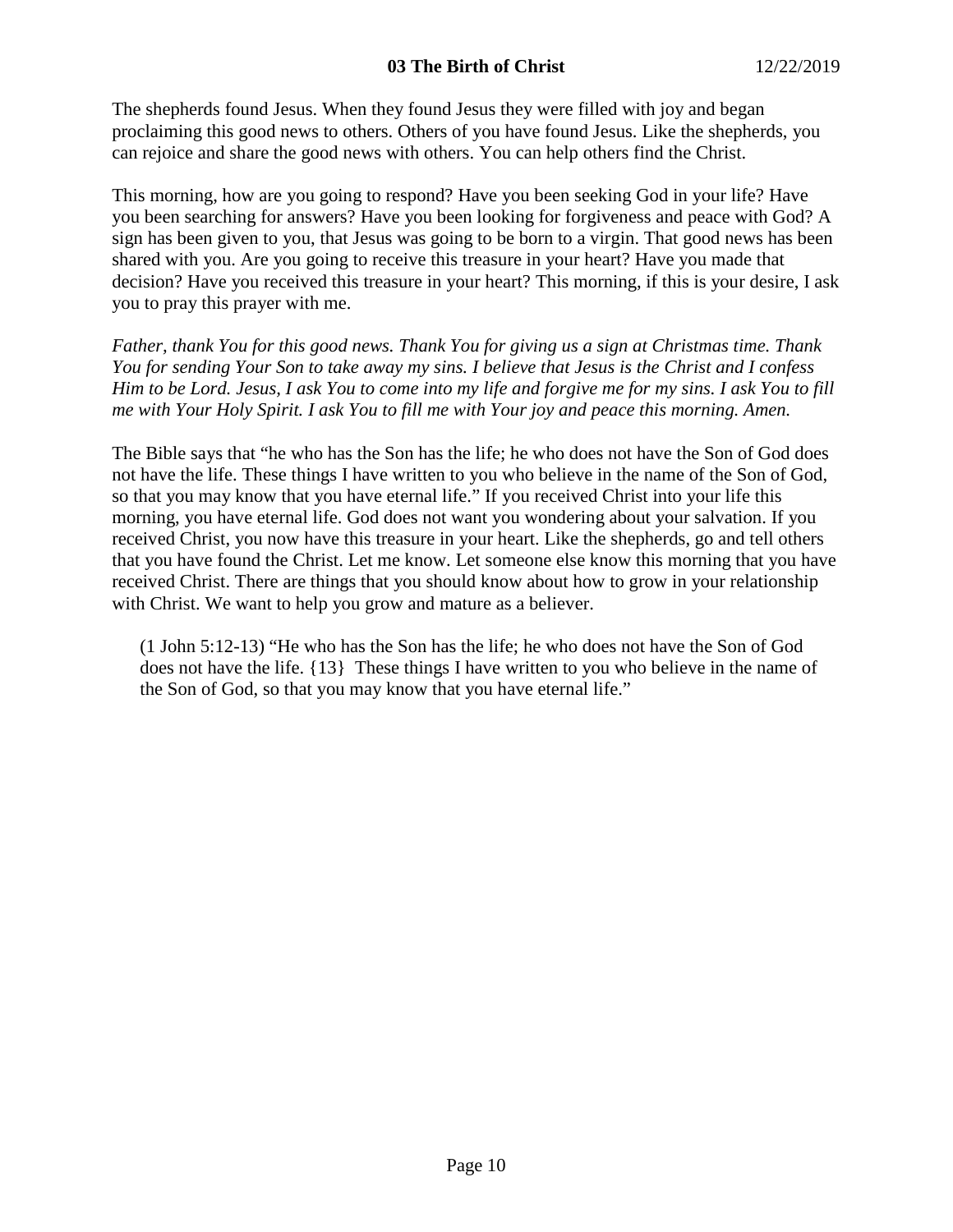The shepherds found Jesus. When they found Jesus they were filled with joy and began proclaiming this good news to others. Others of you have found Jesus. Like the shepherds, you can rejoice and share the good news with others. You can help others find the Christ.

This morning, how are you going to respond? Have you been seeking God in your life? Have you been searching for answers? Have you been looking for forgiveness and peace with God? A sign has been given to you, that Jesus was going to be born to a virgin. That good news has been shared with you. Are you going to receive this treasure in your heart? Have you made that decision? Have you received this treasure in your heart? This morning, if this is your desire, I ask you to pray this prayer with me.

*Father, thank You for this good news. Thank You for giving us a sign at Christmas time. Thank You for sending Your Son to take away my sins. I believe that Jesus is the Christ and I confess Him to be Lord. Jesus, I ask You to come into my life and forgive me for my sins. I ask You to fill me with Your Holy Spirit. I ask You to fill me with Your joy and peace this morning. Amen.*

The Bible says that "he who has the Son has the life; he who does not have the Son of God does not have the life. These things I have written to you who believe in the name of the Son of God, so that you may know that you have eternal life." If you received Christ into your life this morning, you have eternal life. God does not want you wondering about your salvation. If you received Christ, you now have this treasure in your heart. Like the shepherds, go and tell others that you have found the Christ. Let me know. Let someone else know this morning that you have received Christ. There are things that you should know about how to grow in your relationship with Christ. We want to help you grow and mature as a believer.

(1 John 5:12-13) "He who has the Son has the life; he who does not have the Son of God does not have the life. {13} These things I have written to you who believe in the name of the Son of God, so that you may know that you have eternal life."